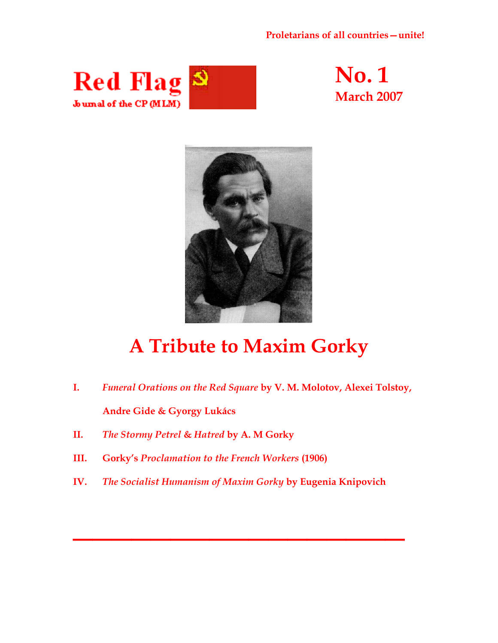### **Proletarians of all countries—unite!**







# **A Tribute to Maxim Gorky**

- **I.** *Funeral Orations on the Red Square* **by V. M. Molotov, Alexei Tolstoy, Andre Gide & Gyorgy Lukács**
- **II.** *The Stormy Petrel* **&** *Hatred* **by A. M Gorky**
- **III. Gorky's** *Proclamation to the French Workers* **(1906)**
- **IV.** *The Socialist Humanism of Maxim Gorky* **by Eugenia Knipovich**

**\_\_\_\_\_\_\_\_\_\_\_\_\_\_\_\_\_**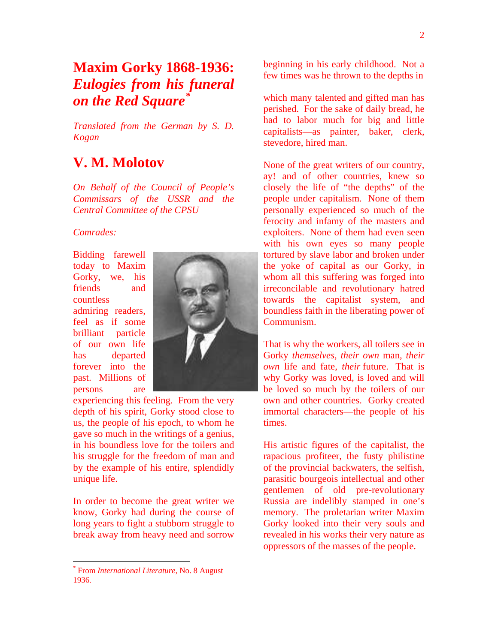## **Maxim Gorky 1868-1936:**  *Eulogies from his funeral on the Red Square[\\*](#page-1-0)*

*Translated from the German by S. D. Kogan*

### **V. M. Molotov**

*On Behalf of the Council of People's Commissars of the USSR and the Central Committee of the CPSU*

### *Comrades:*

Bidding farewell today to Maxim Gorky, we, his friends and countless admiring readers, feel as if some brilliant particle of our own life has departed forever into the past. Millions of persons are



experiencing this feeling. From the very depth of his spirit, Gorky stood close to us, the people of his epoch, to whom he gave so much in the writings of a genius, in his boundless love for the toilers and his struggle for the freedom of man and by the example of his entire, splendidly unique life.

In order to become the great writer we know, Gorky had during the course of long years to fight a stubborn struggle to break away from heavy need and sorrow

 $\overline{a}$ 

beginning in his early childhood. Not a few times was he thrown to the depths in

which many talented and gifted man has perished. For the sake of daily bread, he had to labor much for big and little capitalists—as painter, baker, clerk, stevedore, hired man.

None of the great writers of our country, ay! and of other countries, knew so closely the life of "the depths" of the people under capitalism. None of them personally experienced so much of the ferocity and infamy of the masters and exploiters. None of them had even seen with his own eyes so many people tortured by slave labor and broken under the yoke of capital as our Gorky, in whom all this suffering was forged into irreconcilable and revolutionary hatred towards the capitalist system, and boundless faith in the liberating power of Communism.

That is why the workers, all toilers see in Gorky *themselves, their own* man, *their own* life and fate, *their* future. That is why Gorky was loved, is loved and will be loved so much by the toilers of our own and other countries. Gorky created immortal characters—the people of his times.

His artistic figures of the capitalist, the rapacious profiteer, the fusty philistine of the provincial backwaters, the selfish, parasitic bourgeois intellectual and other gentlemen of old pre-revolutionary Russia are indelibly stamped in one's memory. The proletarian writer Maxim Gorky looked into their very souls and revealed in his works their very nature as oppressors of the masses of the people.

<span id="page-1-0"></span><sup>\*</sup> From *International Literature*, No. 8 August 1936.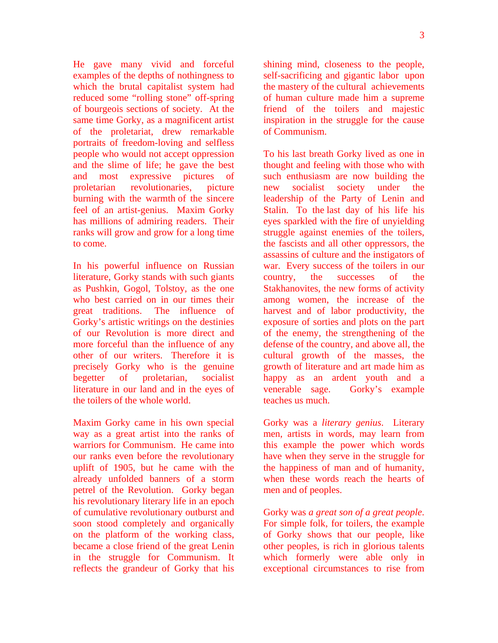He gave many vivid and forceful examples of the depths of nothingness to which the brutal capitalist system had reduced some "rolling stone" off-spring of bourgeois sections of society. At the same time Gorky, as a magnificent artist of the proletariat, drew remarkable portraits of freedom-loving and selfless people who would not accept oppression and the slime of life; he gave the best and most expressive pictures of proletarian revolutionaries, picture burning with the warmth of the sincere feel of an artist-genius. Maxim Gorky has millions of admiring readers. Their ranks will grow and grow for a long time to come.

In his powerful influence on Russian literature, Gorky stands with such giants as Pushkin, Gogol, Tolstoy, as the one who best carried on in our times their great traditions. The influence of Gorky's artistic writings on the destinies of our Revolution is more direct and more forceful than the influence of any other of our writers. Therefore it is precisely Gorky who is the genuine begetter of proletarian, socialist literature in our land and in the eyes of the toilers of the whole world.

Maxim Gorky came in his own special way as a great artist into the ranks of warriors for Communism. He came into our ranks even before the revolutionary uplift of 1905, but he came with the already unfolded banners of a storm petrel of the Revolution. Gorky began his revolutionary literary life in an epoch of cumulative revolutionary outburst and soon stood completely and organically on the platform of the working class, became a close friend of the great Lenin in the struggle for Communism. It reflects the grandeur of Gorky that his

shining mind, closeness to the people, self-sacrificing and gigantic labor upon the mastery of the cultural achievements of human culture made him a supreme friend of the toilers and majestic inspiration in the struggle for the cause of Communism.

To his last breath Gorky lived as one in thought and feeling with those who with such enthusiasm are now building the new socialist society under the leadership of the Party of Lenin and Stalin. To the last day of his life his eyes sparkled with the fire of unyielding struggle against enemies of the toilers, the fascists and all other oppressors, the assassins of culture and the instigators of war. Every success of the toilers in our country, the successes of the Stakhanovites, the new forms of activity among women, the increase of the harvest and of labor productivity, the exposure of sorties and plots on the part of the enemy, the strengthening of the defense of the country, and above all, the cultural growth of the masses, the growth of literature and art made him as happy as an ardent youth and a venerable sage. Gorky's example teaches us much.

Gorky was a *literary genius*. Literary men, artists in words, may learn from this example the power which words have when they serve in the struggle for the happiness of man and of humanity, when these words reach the hearts of men and of peoples.

Gorky was *a great son of a great people*. For simple folk, for toilers, the example of Gorky shows that our people, like other peoples, is rich in glorious talents which formerly were able only in exceptional circumstances to rise from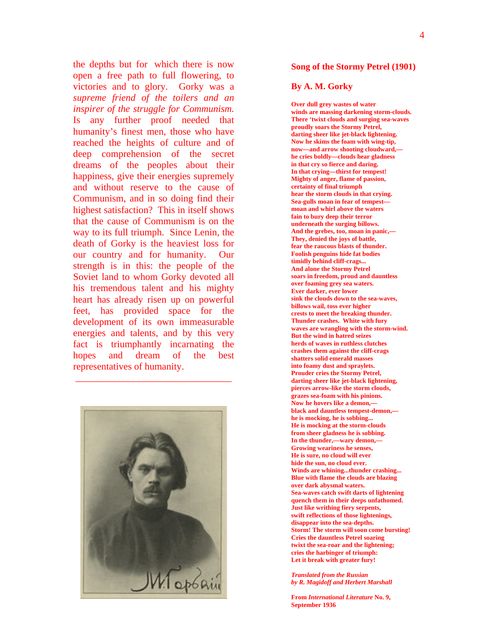the depths but for which there is now open a free path to full flowering, to victories and to glory. Gorky was a *supreme friend of the toilers and an inspirer of the struggle for Communism.* Is any further proof needed that humanity's finest men, those who have reached the heights of culture and of deep comprehension of the secret dreams of the peoples about their happiness, give their energies supremely and without reserve to the cause of Communism, and in so doing find their highest satisfaction? This in itself shows that the cause of Communism is on the way to its full triumph. Since Lenin, the death of Gorky is the heaviest loss for our country and for humanity. Our strength is in this: the people of the Soviet land to whom Gorky devoted all his tremendous talent and his mighty heart has already risen up on powerful feet, has provided space for the development of its own immeasurable energies and talents, and by this very fact is triumphantly incarnating the hopes and dream of the best representatives of humanity.



 $\frac{1}{2}$  ,  $\frac{1}{2}$  ,  $\frac{1}{2}$  ,  $\frac{1}{2}$  ,  $\frac{1}{2}$  ,  $\frac{1}{2}$  ,  $\frac{1}{2}$  ,  $\frac{1}{2}$  ,  $\frac{1}{2}$  ,  $\frac{1}{2}$  ,  $\frac{1}{2}$  ,  $\frac{1}{2}$  ,  $\frac{1}{2}$  ,  $\frac{1}{2}$  ,  $\frac{1}{2}$  ,  $\frac{1}{2}$  ,  $\frac{1}{2}$  ,  $\frac{1}{2}$  ,  $\frac{1$ 

#### **Song of the Stormy Petrel (1901)**

#### **By A. M. Gorky**

**Over dull grey wastes of water winds are massing darkening storm-clouds. There 'twixt clouds and surging sea-waves proudly soars the Stormy Petrel, darting sheer like jet-black lightening. Now he skims the foam with wing-tip, now—and arrow shooting cloudward, he cries boldly—clouds hear gladness in that cry so fierce and daring. In that crying—thirst for tempest! Mighty of anger, flame of passion, certainty of final triumph hear the storm clouds in that crying. Sea-gulls moan in fear of tempest moan and whirl above the waters fain to bury deep their terror underneath the surging billows. And the grebes, too, moan in panic,— They, denied the joys of battle, fear the raucous blasts of thunder. Foolish penguins hide fat bodies timidly behind cliff-crags... And alone the Stormy Petrel soars in freedom, proud and dauntless over foaming grey sea waters. Ever darker, ever lower sink the clouds down to the sea-waves, billows wail, toss ever higher crests to meet the breaking thunder. Thunder crashes. White with fury waves are wrangling with the storm-wind. But the wind in hatred seizes herds of waves in ruthless clutches crashes them against the cliff-crags shatters solid emerald masses into foamy dust and spraylets. Prouder cries the Stormy Petrel, darting sheer like jet-black lightening, pierces arrow-like the storm clouds, grazes sea-foam with his pinions. Now he hovers like a demon, black and dauntless tempest-demon, he is mocking, he is sobbing... He is mocking at the storm-clouds from sheer gladness he is sobbing. In the thunder,—wary demon,— Growing weariness he senses, He is sure, no cloud will ever hide the sun, no cloud ever. Winds are whining...thunder crashing... Blue with flame the clouds are blazing over dark abysmal waters. Sea-waves catch swift darts of lightening quench them in their deeps unfathomed. Just like writhing fiery serpents, swift reflections of those lightenings, disappear into the sea-depths. Storm! The storm will soon come bursting! Cries the dauntless Petrel soaring twixt the sea-roar and the lightening; cries the harbinger of triumph: Let it break with greater fury!** 

*Translated from the Russian by R. Magidoff and Herbert Marshall*

**From** *International Literature* **No. 9, September 1936**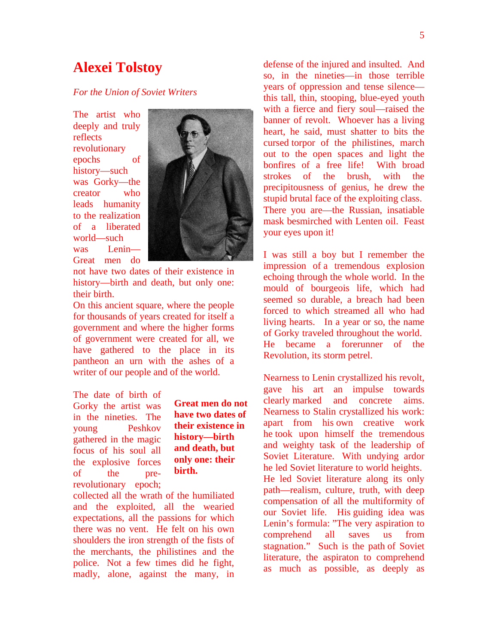### **Alexei Tolstoy**

#### *For the Union of Soviet Writers*

The artist who deeply and truly reflects revolutionary epochs of history—such was Gorky—the creator who leads humanity to the realization of a liberated world—such was Lenin— Great men do



not have two dates of their existence in history—birth and death, but only one: their birth.

On this ancient square, where the people for thousands of years created for itself a government and where the higher forms of government were created for all, we have gathered to the place in its pantheon an urn with the ashes of a writer of our people and of the world.

The date of birth of Gorky the artist was in the nineties. The young Peshkov gathered in the magic focus of his soul all the explosive forces of the prerevolutionary epoch;

**Great men do not have two dates of their existence in history—birth and death, but only one: their birth.**

collected all the wrath of the humiliated and the exploited, all the wearied expectations, all the passions for which there was no vent. He felt on his own shoulders the iron strength of the fists of the merchants, the philistines and the police. Not a few times did he fight, madly, alone, against the many, in

defense of the injured and insulted. And so, in the nineties—in those terrible years of oppression and tense silence this tall, thin, stooping, blue-eyed youth with a fierce and fiery soul—raised the banner of revolt. Whoever has a living heart, he said, must shatter to bits the cursed torpor of the philistines, march out to the open spaces and light the bonfires of a free life! With broad strokes of the brush, with the precipitousness of genius, he drew the stupid brutal face of the exploiting class. There you are—the Russian, insatiable mask besmirched with Lenten oil. Feast your eyes upon it!

I was still a boy but I remember the impression of a tremendous explosion echoing through the whole world. In the mould of bourgeois life, which had seemed so durable, a breach had been forced to which streamed all who had living hearts. In a year or so, the name of Gorky traveled throughout the world. He became a forerunner of the Revolution, its storm petrel.

Nearness to Lenin crystallized his revolt, gave his art an impulse towards clearly marked and concrete aims. Nearness to Stalin crystallized his work: apart from his own creative work he took upon himself the tremendous and weighty task of the leadership of Soviet Literature. With undying ardor he led Soviet literature to world heights. He led Soviet literature along its only path—realism, culture, truth, with deep compensation of all the multiformity of our Soviet life. His guiding idea was Lenin's formula: "The very aspiration to comprehend all saves us from stagnation." Such is the path of Soviet literature, the aspiraton to comprehend as much as possible, as deeply as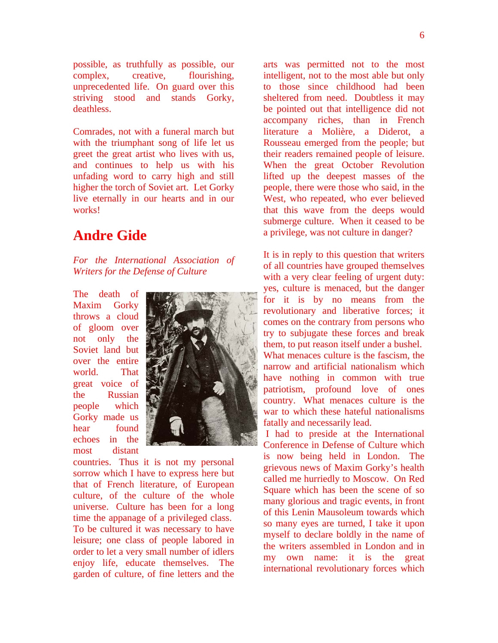possible, as truthfully as possible, our complex, creative, flourishing, unprecedented life. On guard over this striving stood and stands Gorky, deathless.

Comrades, not with a funeral march but with the triumphant song of life let us greet the great artist who lives with us, and continues to help us with his unfading word to carry high and still higher the torch of Soviet art. Let Gorky live eternally in our hearts and in our works!

### **Andre Gide**

*For the International Association of Writers for the Defense of Culture*

The death of Maxim Gorky throws a cloud of gloom over not only the Soviet land but over the entire world. That great voice of the Russian people which Gorky made us hear found echoes in the most distant



countries. Thus it is not my personal sorrow which I have to express here but that of French literature, of European culture, of the culture of the whole universe. Culture has been for a long time the appanage of a privileged class. To be cultured it was necessary to have leisure; one class of people labored in order to let a very small number of idlers enjoy life, educate themselves. The garden of culture, of fine letters and the

arts was permitted not to the most intelligent, not to the most able but only to those since childhood had been sheltered from need. Doubtless it may be pointed out that intelligence did not accompany riches, than in French literature a Molière, a Diderot, a Rousseau emerged from the people; but their readers remained people of leisure. When the great October Revolution lifted up the deepest masses of the people, there were those who said, in the West, who repeated, who ever believed that this wave from the deeps would submerge culture. When it ceased to be a privilege, was not culture in danger?

It is in reply to this question that writers of all countries have grouped themselves with a very clear feeling of urgent duty: yes, culture is menaced, but the danger for it is by no means from the revolutionary and liberative forces; it comes on the contrary from persons who try to subjugate these forces and break them, to put reason itself under a bushel. What menaces culture is the fascism, the narrow and artificial nationalism which have nothing in common with true patriotism, profound love of ones country. What menaces culture is the war to which these hateful nationalisms fatally and necessarily lead.

 I had to preside at the International Conference in Defense of Culture which is now being held in London. The grievous news of Maxim Gorky's health called me hurriedly to Moscow. On Red Square which has been the scene of so many glorious and tragic events, in front of this Lenin Mausoleum towards which so many eyes are turned, I take it upon myself to declare boldly in the name of the writers assembled in London and in my own name: it is the great international revolutionary forces which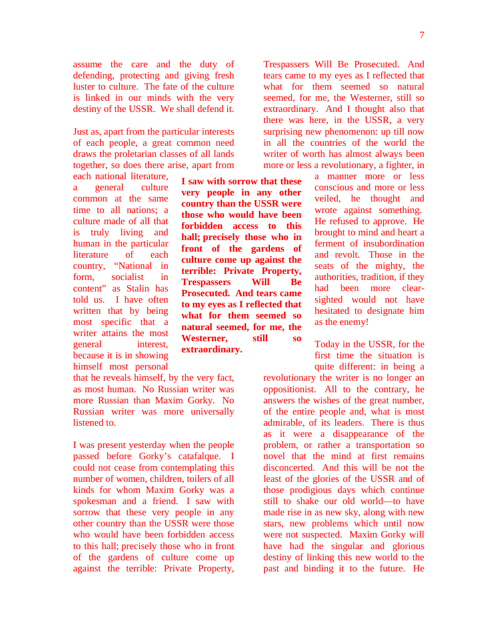7

assume the care and the duty of defending, protecting and giving fresh luster to culture. The fate of the culture is linked in our minds with the very destiny of the USSR. We shall defend it.

Just as, apart from the particular interests of each people, a great common need draws the proletarian classes of all lands together, so does there arise, apart from

each national literature, a general culture common at the same time to all nations; a culture made of all that is truly living and human in the particular literature of each country, "National in form, socialist in content" as Stalin has told us. I have often written that by being most specific that a writer attains the most general interest, because it is in showing himself most personal

that he reveals himself, by the very fact, as most human. No Russian writer was more Russian than Maxim Gorky. No Russian writer was more universally listened to.

I was present yesterday when the people passed before Gorky's catafalque. I could not cease from contemplating this number of women, children, toilers of all kinds for whom Maxim Gorky was a spokesman and a friend. I saw with sorrow that these very people in any other country than the USSR were those who would have been forbidden access to this hall; precisely those who in front of the gardens of culture come up against the terrible: Private Property,

**I saw with sorrow that these very people in any other country than the USSR were those who would have been forbidden access to this hall; precisely those who in front of the gardens of culture come up against the terrible: Private Property, Trespassers Will Be Prosecuted. And tears came to my eyes as I reflected that what for them seemed so natural seemed, for me, the Westerner, still so extraordinary.** 

Trespassers Will Be Prosecuted. And tears came to my eyes as I reflected that what for them seemed so natural seemed, for me, the Westerner, still so extraordinary. And I thought also that there was here, in the USSR, a very surprising new phenomenon: up till now in all the countries of the world the writer of worth has almost always been more or less a revolutionary, a fighter, in

> a manner more or less conscious and more or less veiled, he thought and wrote against something. He refused to approve. He brought to mind and heart a ferment of insubordination and revolt. Those in the seats of the mighty, the authorities, tradition, if they had been more clearsighted would not have hesitated to designate him as the enemy!

Today in the USSR, for the first time the situation is quite different: in being a

revolutionary the writer is no longer an oppositionist. All to the contrary, he answers the wishes of the great number, of the entire people and, what is most admirable, of its leaders. There is thus as it were a disappearance of the problem, or rather a transportation so novel that the mind at first remains disconcerted. And this will be not the least of the glories of the USSR and of those prodigious days which continue still to shake our old world—to have made rise in as new sky, along with new stars, new problems which until now were not suspected. Maxim Gorky will have had the singular and glorious destiny of linking this new world to the past and binding it to the future. He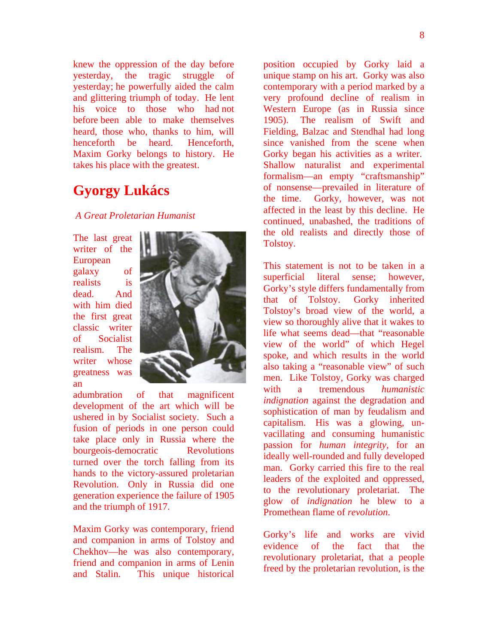knew the oppression of the day before yesterday, the tragic struggle of yesterday; he powerfully aided the calm and glittering triumph of today. He lent his voice to those who had not before been able to make themselves heard, those who, thanks to him, will henceforth be heard. Henceforth, Maxim Gorky belongs to history. He takes his place with the greatest.

### **Gyorgy Lukács**

### *A Great Proletarian Humanist*

The last great writer of the European galaxy of realists is dead. And with him died the first great classic writer of Socialist realism. The writer whose greatness was an



adumbration of that magnificent development of the art which will be ushered in by Socialist society. Such a fusion of periods in one person could take place only in Russia where the bourgeois-democratic Revolutions turned over the torch falling from its hands to the victory-assured proletarian Revolution. Only in Russia did one generation experience the failure of 1905 and the triumph of 1917.

Maxim Gorky was contemporary, friend and companion in arms of Tolstoy and Chekhov—he was also contemporary, friend and companion in arms of Lenin and Stalin. This unique historical

position occupied by Gorky laid a unique stamp on his art. Gorky was also contemporary with a period marked by a very profound decline of realism in Western Europe (as in Russia since 1905). The realism of Swift and Fielding, Balzac and Stendhal had long since vanished from the scene when Gorky began his activities as a writer. Shallow naturalist and experimental formalism—an empty "craftsmanship" of nonsense—prevailed in literature of the time. Gorky, however, was not affected in the least by this decline. He continued, unabashed, the traditions of the old realists and directly those of Tolstoy.

This statement is not to be taken in a superficial literal sense; however, Gorky's style differs fundamentally from that of Tolstoy. Gorky inherited Tolstoy's broad view of the world, a view so thoroughly alive that it wakes to life what seems dead—that "reasonable view of the world" of which Hegel spoke, and which results in the world also taking a "reasonable view" of such men. Like Tolstoy, Gorky was charged with a tremendous *humanistic indignation* against the degradation and sophistication of man by feudalism and capitalism. His was a glowing, unvacillating and consuming humanistic passion for *human integrity,* for an ideally well-rounded and fully developed man. Gorky carried this fire to the real leaders of the exploited and oppressed, to the revolutionary proletariat. The glow of *indignation* he blew to a Promethean flame of *revolution*.

Gorky's life and works are vivid evidence of the fact that the revolutionary proletariat, that a people freed by the proletarian revolution, is the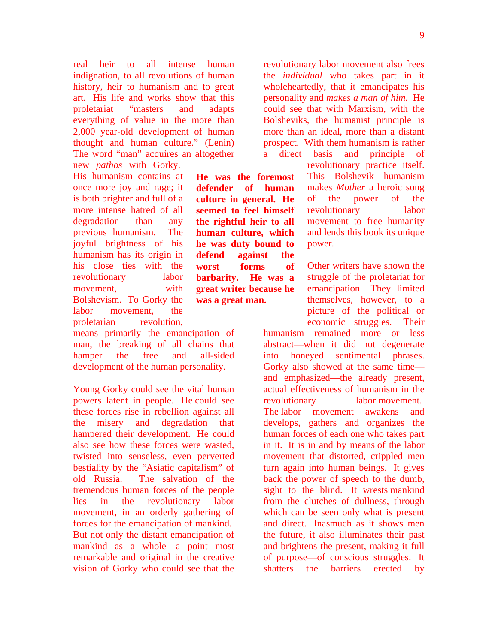real heir to all intense human indignation, to all revolutions of human history, heir to humanism and to great art. His life and works show that this proletariat "masters and adapts everything of value in the more than 2,000 year-old development of human thought and human culture." (Lenin) The word "man" acquires an altogether new *pathos* with Gorky.

> **He was the foremost defender of human culture in general. He seemed to feel himself the rightful heir to all human culture, which he was duty bound to defend against the worst forms of barbarity. He was a great writer because he**

**was a great man.**

His humanism contains at once more joy and rage; it is both brighter and full of a more intense hatred of all degradation than any previous humanism. The joyful brightness of his humanism has its origin in his close ties with the revolutionary labor movement, with Bolshevism. To Gorky the labor movement, the proletarian revolution,

means primarily the emancipation of man, the breaking of all chains that hamper the free and all-sided development of the human personality.

Young Gorky could see the vital human powers latent in people. He could see these forces rise in rebellion against all the misery and degradation that hampered their development. He could also see how these forces were wasted, twisted into senseless, even perverted bestiality by the "Asiatic capitalism" of old Russia. The salvation of the tremendous human forces of the people lies in the revolutionary labor movement, in an orderly gathering of forces for the emancipation of mankind. But not only the distant emancipation of mankind as a whole—a point most remarkable and original in the creative vision of Gorky who could see that the

revolutionary labor movement also frees the *individual* who takes part in it wholeheartedly, that it emancipates his personality and *makes a man of him*. He could see that with Marxism, with the Bolsheviks, the humanist principle is more than an ideal, more than a distant prospect. With them humanism is rather a direct basis and principle of

> revolutionary practice itself. This Bolshevik humanism makes *Mother* a heroic song of the power of the revolutionary labor movement to free humanity and lends this book its unique power.

> Other writers have shown the struggle of the proletariat for emancipation. They limited themselves, however, to a picture of the political or economic struggles. Their

humanism remained more or less abstract—when it did not degenerate into honeyed sentimental phrases. Gorky also showed at the same time and emphasized—the already present, actual effectiveness of humanism in the revolutionary labor movement. The labor movement awakens and develops, gathers and organizes the human forces of each one who takes part in it. It is in and by means of the labor movement that distorted, crippled men turn again into human beings. It gives back the power of speech to the dumb, sight to the blind. It wrests mankind from the clutches of dullness, through which can be seen only what is present and direct. Inasmuch as it shows men the future, it also illuminates their past and brightens the present, making it full of purpose—of conscious struggles. It shatters the barriers erected by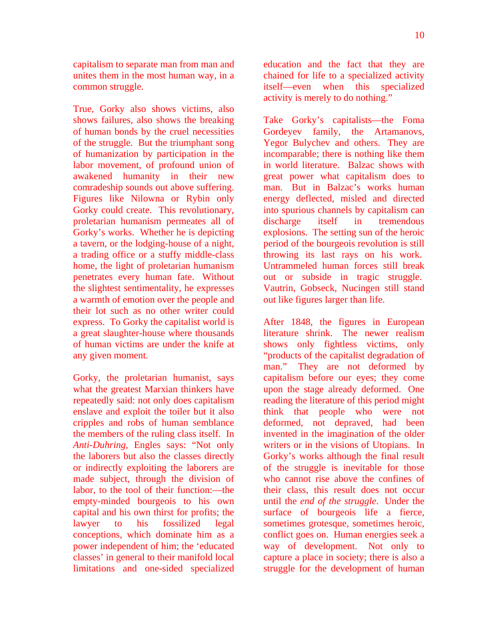capitalism to separate man from man and unites them in the most human way, in a common struggle.

True, Gorky also shows victims, also shows failures, also shows the breaking of human bonds by the cruel necessities of the struggle. But the triumphant song of humanization by participation in the labor movement, of profound union of awakened humanity in their new comradeship sounds out above suffering. Figures like Nilowna or Rybin only Gorky could create. This revolutionary, proletarian humanism permeates all of Gorky's works. Whether he is depicting a tavern, or the lodging-house of a night, a trading office or a stuffy middle-class home, the light of proletarian humanism penetrates every human fate. Without the slightest sentimentality, he expresses a warmth of emotion over the people and their lot such as no other writer could express. To Gorky the capitalist world is a great slaughter-house where thousands of human victims are under the knife at any given moment.

Gorky, the proletarian humanist, says what the greatest Marxian thinkers have repeatedly said: not only does capitalism enslave and exploit the toiler but it also cripples and robs of human semblance the members of the ruling class itself. In *Anti-Duhring*, Engles says: "Not only the laborers but also the classes directly or indirectly exploiting the laborers are made subject, through the division of labor, to the tool of their function:—the empty-minded bourgeois to his own capital and his own thirst for profits; the lawyer to his fossilized legal conceptions, which dominate him as a power independent of him; the 'educated classes' in general to their manifold local limitations and one-sided specialized

education and the fact that they are chained for life to a specialized activity itself—even when this specialized activity is merely to do nothing."

Take Gorky's capitalists—the Foma Gordeyev family, the Artamanovs, Yegor Bulychev and others. They are incomparable; there is nothing like them in world literature. Balzac shows with great power what capitalism does to man. But in Balzac's works human energy deflected, misled and directed into spurious channels by capitalism can discharge itself in tremendous explosions. The setting sun of the heroic period of the bourgeois revolution is still throwing its last rays on his work. Untrammeled human forces still break out or subside in tragic struggle. Vautrin, Gobseck, Nucingen still stand out like figures larger than life.

After 1848, the figures in European literature shrink. The newer realism shows only fightless victims, only "products of the capitalist degradation of man." They are not deformed by capitalism before our eyes; they come upon the stage already deformed. One reading the literature of this period might think that people who were not deformed, not depraved, had been invented in the imagination of the older writers or in the visions of Utopians. In Gorky's works although the final result of the struggle is inevitable for those who cannot rise above the confines of their class, this result does not occur until the *end of the struggle*. Under the surface of bourgeois life a fierce, sometimes grotesque, sometimes heroic, conflict goes on. Human energies seek a way of development. Not only to capture a place in society; there is also a struggle for the development of human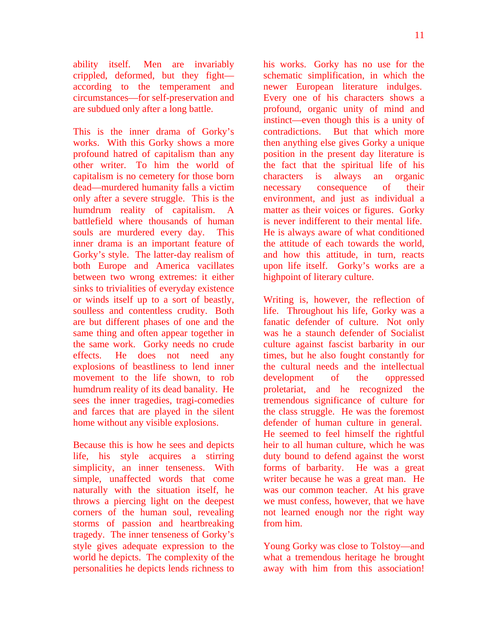ability itself. Men are invariably crippled, deformed, but they fight according to the temperament and circumstances—for self-preservation and are subdued only after a long battle.

This is the inner drama of Gorky's works. With this Gorky shows a more profound hatred of capitalism than any other writer. To him the world of capitalism is no cemetery for those born dead—murdered humanity falls a victim only after a severe struggle. This is the humdrum reality of capitalism. A battlefield where thousands of human souls are murdered every day. This inner drama is an important feature of Gorky's style. The latter-day realism of both Europe and America vacillates between two wrong extremes: it either sinks to trivialities of everyday existence or winds itself up to a sort of beastly, soulless and contentless crudity. Both are but different phases of one and the same thing and often appear together in the same work. Gorky needs no crude effects. He does not need any explosions of beastliness to lend inner movement to the life shown, to rob humdrum reality of its dead banality. He sees the inner tragedies, tragi-comedies and farces that are played in the silent home without any visible explosions.

Because this is how he sees and depicts life, his style acquires a stirring simplicity, an inner tenseness. With simple, unaffected words that come naturally with the situation itself, he throws a piercing light on the deepest corners of the human soul, revealing storms of passion and heartbreaking tragedy. The inner tenseness of Gorky's style gives adequate expression to the world he depicts. The complexity of the personalities he depicts lends richness to his works. Gorky has no use for the schematic simplification, in which the newer European literature indulges. Every one of his characters shows a profound, organic unity of mind and instinct—even though this is a unity of contradictions. But that which more then anything else gives Gorky a unique position in the present day literature is the fact that the spiritual life of his characters is always an organic necessary consequence of their environment, and just as individual a matter as their voices or figures. Gorky is never indifferent to their mental life. He is always aware of what conditioned the attitude of each towards the world, and how this attitude, in turn, reacts upon life itself. Gorky's works are a highpoint of literary culture.

Writing is, however, the reflection of life. Throughout his life, Gorky was a fanatic defender of culture. Not only was he a staunch defender of Socialist culture against fascist barbarity in our times, but he also fought constantly for the cultural needs and the intellectual development of the oppressed proletariat, and he recognized the tremendous significance of culture for the class struggle. He was the foremost defender of human culture in general. He seemed to feel himself the rightful heir to all human culture, which he was duty bound to defend against the worst forms of barbarity. He was a great writer because he was a great man. He was our common teacher. At his grave we must confess, however, that we have not learned enough nor the right way from him.

Young Gorky was close to Tolstoy—and what a tremendous heritage he brought away with him from this association!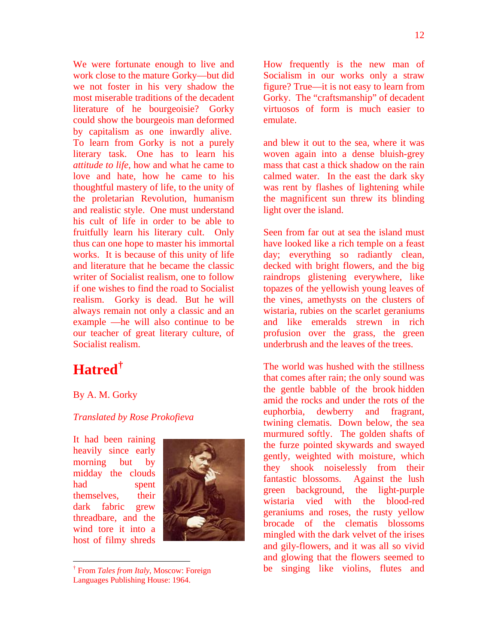We were fortunate enough to live and work close to the mature Gorky—but did we not foster in his very shadow the most miserable traditions of the decadent literature of he bourgeoisie? Gorky could show the bourgeois man deformed by capitalism as one inwardly alive. To learn from Gorky is not a purely literary task. One has to learn his *attitude to life,* how and what he came to love and hate, how he came to his thoughtful mastery of life, to the unity of the proletarian Revolution, humanism and realistic style. One must understand his cult of life in order to be able to

fruitfully learn his literary cult. Only thus can one hope to master his immortal works. It is because of this unity of life and literature that he became the classic writer of Socialist realism, one to follow if one wishes to find the road to Socialist realism. Gorky is dead. But he will always remain not only a classic and an example —he will also continue to be our teacher of great literary culture, of Socialist realism.

# **Hatred[†](#page-11-0)**

### By A. M. Gorky

### *Translated by Rose Prokofieva*

It had been raining heavily since early morning but by midday the clouds had spent themselves, their dark fabric grew threadbare, and the wind tore it into a host of filmy shreds

<span id="page-11-0"></span> $\overline{a}$ 



<sup>†</sup> From *Tales from Italy*, Moscow: Foreign Languages Publishing House: 1964.

How frequently is the new man of Socialism in our works only a straw figure? True—it is not easy to learn from Gorky. The "craftsmanship" of decadent virtuosos of form is much easier to emulate.

and blew it out to the sea, where it was woven again into a dense bluish-grey mass that cast a thick shadow on the rain calmed water. In the east the dark sky was rent by flashes of lightening while the magnificent sun threw its blinding light over the island.

Seen from far out at sea the island must have looked like a rich temple on a feast day; everything so radiantly clean, decked with bright flowers, and the big raindrops glistening everywhere, like topazes of the yellowish young leaves of the vines, amethysts on the clusters of wistaria, rubies on the scarlet geraniums and like emeralds strewn in rich profusion over the grass, the green underbrush and the leaves of the trees.

The world was hushed with the stillness that comes after rain; the only sound was the gentle babble of the brook hidden amid the rocks and under the rots of the euphorbia, dewberry and fragrant, twining clematis. Down below, the sea murmured softly. The golden shafts of the furze pointed skywards and swayed gently, weighted with moisture, which they shook noiselessly from their fantastic blossoms. Against the lush green background, the light-purple wistaria vied with the blood-red geraniums and roses, the rusty yellow brocade of the clematis blossoms mingled with the dark velvet of the irises and gily-flowers, and it was all so vivid and glowing that the flowers seemed to be singing like violins, flutes and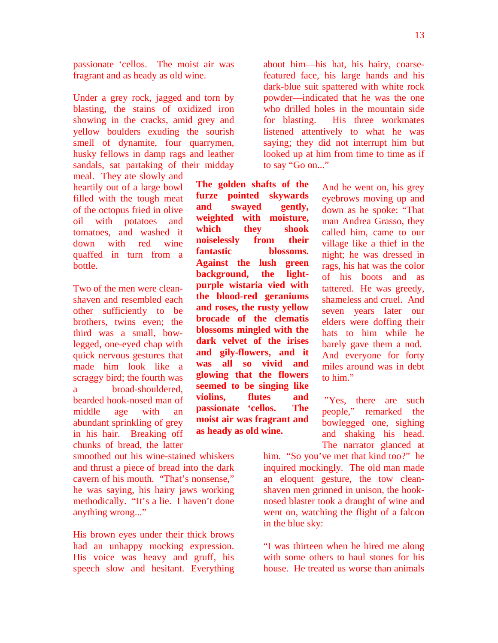passionate 'cellos. The moist air was fragrant and as heady as old wine.

Under a grey rock, jagged and torn by blasting, the stains of oxidized iron showing in the cracks, amid grey and yellow boulders exuding the sourish smell of dynamite, four quarrymen, husky fellows in damp rags and leather sandals, sat partaking of their midday

meal. They ate slowly and heartily out of a large bowl filled with the tough meat of the octopus fried in olive oil with potatoes and tomatoes, and washed it down with red wine quaffed in turn from a bottle.

Two of the men were cleanshaven and resembled each other sufficiently to be brothers, twins even; the third was a small, bowlegged, one-eyed chap with quick nervous gestures that made him look like a scraggy bird; the fourth was a broad-shouldered, bearded hook-nosed man of middle age with an abundant sprinkling of grey in his hair. Breaking off chunks of bread, the latter

smoothed out his wine-stained whiskers and thrust a piece of bread into the dark cavern of his mouth. "That's nonsense," he was saying, his hairy jaws working methodically. "It's a lie. I haven't done anything wrong..."

His brown eyes under their thick brows had an unhappy mocking expression. His voice was heavy and gruff, his speech slow and hesitant. Everything about him—his hat, his hairy, coarsefeatured face, his large hands and his dark-blue suit spattered with white rock powder—indicated that he was the one who drilled holes in the mountain side for blasting. His three workmates listened attentively to what he was saying; they did not interrupt him but looked up at him from time to time as if to say "Go on..."

**The golden shafts of the furze pointed skywards and swayed gently, weighted with moisture, which they shook noiselessly from their fantastic blossoms. Against the lush green background, the lightpurple wistaria vied with the blood-red geraniums and roses, the rusty yellow brocade of the clematis blossoms mingled with the dark velvet of the irises and gily-flowers, and it was all so vivid and glowing that the flowers seemed to be singing like violins, flutes and passionate 'cellos. The moist air was fragrant and as heady as old wine.**

And he went on, his grey eyebrows moving up and down as he spoke: "That man Andrea Grasso, they called him, came to our village like a thief in the night; he was dressed in rags, his hat was the color of his boots and as tattered. He was greedy, shameless and cruel. And seven years later our elders were doffing their hats to him while he barely gave them a nod. And everyone for forty miles around was in debt to him."

 "Yes, there are such people," remarked the bowlegged one, sighing and shaking his head. The narrator glanced at

him. "So you've met that kind too?" he inquired mockingly. The old man made an eloquent gesture, the tow cleanshaven men grinned in unison, the hooknosed blaster took a draught of wine and went on, watching the flight of a falcon in the blue sky:

"I was thirteen when he hired me along with some others to haul stones for his house. He treated us worse than animals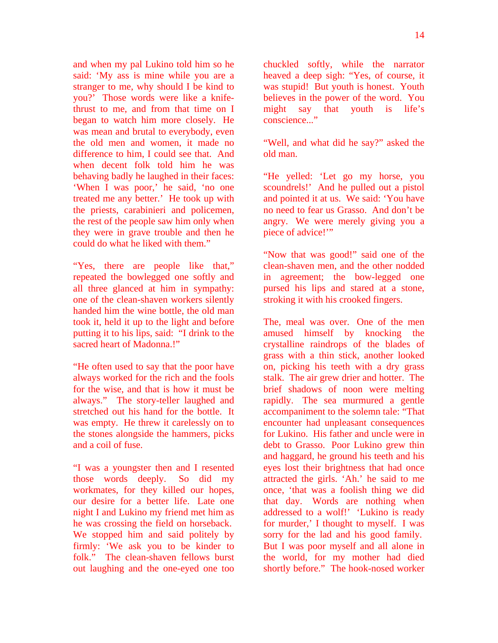and when my pal Lukino told him so he said: 'My ass is mine while you are a stranger to me, why should I be kind to you?' Those words were like a knifethrust to me, and from that time on I began to watch him more closely. He was mean and brutal to everybody, even the old men and women, it made no difference to him, I could see that. And when decent folk told him he was behaving badly he laughed in their faces: 'When I was poor,' he said, 'no one treated me any better.' He took up with the priests, carabinieri and policemen, the rest of the people saw him only when they were in grave trouble and then he could do what he liked with them."

"Yes, there are people like that," repeated the bowlegged one softly and all three glanced at him in sympathy: one of the clean-shaven workers silently handed him the wine bottle, the old man took it, held it up to the light and before putting it to his lips, said: "I drink to the sacred heart of Madonna.!"

"He often used to say that the poor have always worked for the rich and the fools for the wise, and that is how it must be always." The story-teller laughed and stretched out his hand for the bottle. It was empty. He threw it carelessly on to the stones alongside the hammers, picks and a coil of fuse.

"I was a youngster then and I resented those words deeply. So did my workmates, for they killed our hopes, our desire for a better life. Late one night I and Lukino my friend met him as he was crossing the field on horseback. We stopped him and said politely by firmly: 'We ask you to be kinder to folk." The clean-shaven fellows burst out laughing and the one-eyed one too

chuckled softly, while the narrator heaved a deep sigh: "Yes, of course, it was stupid! But youth is honest. Youth believes in the power of the word. You might say that youth is life's conscience..."

"Well, and what did he say?" asked the old man.

"He yelled: 'Let go my horse, you scoundrels!' And he pulled out a pistol and pointed it at us. We said: 'You have no need to fear us Grasso. And don't be angry. We were merely giving you a piece of advice!"

"Now that was good!" said one of the clean-shaven men, and the other nodded in agreement; the bow-legged one pursed his lips and stared at a stone, stroking it with his crooked fingers.

The, meal was over. One of the men amused himself by knocking the crystalline raindrops of the blades of grass with a thin stick, another looked on, picking his teeth with a dry grass stalk. The air grew drier and hotter. The brief shadows of noon were melting rapidly. The sea murmured a gentle accompaniment to the solemn tale: "That encounter had unpleasant consequences for Lukino. His father and uncle were in debt to Grasso. Poor Lukino grew thin and haggard, he ground his teeth and his eyes lost their brightness that had once attracted the girls. 'Ah.' he said to me once, 'that was a foolish thing we did that day. Words are nothing when addressed to a wolf!' 'Lukino is ready for murder,' I thought to myself. I was sorry for the lad and his good family. But I was poor myself and all alone in the world, for my mother had died shortly before." The hook-nosed worker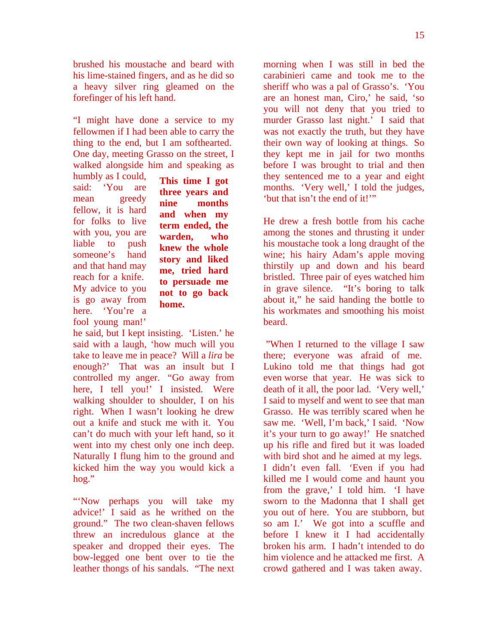brushed his moustache and beard with his lime-stained fingers, and as he did so a heavy silver ring gleamed on the forefinger of his left hand.

"I might have done a service to my fellowmen if I had been able to carry the thing to the end, but I am softhearted. One day, meeting Grasso on the street, I walked alongside him and speaking as

humbly as I could, said: 'You are mean greedy fellow, it is hard for folks to live with you, you are liable to push someone's hand and that hand may reach for a knife. My advice to you is go away from here. 'You're a fool young man!'

**This time I got three years and nine months and when my term ended, the warden, who knew the whole story and liked me, tried hard to persuade me not to go back home.** 

he said, but I kept insisting. 'Listen.' he said with a laugh, 'how much will you take to leave me in peace? Will a *lira* be enough?' That was an insult but I controlled my anger. "Go away from here, I tell you!' I insisted. Were walking shoulder to shoulder, I on his right. When I wasn't looking he drew out a knife and stuck me with it. You can't do much with your left hand, so it went into my chest only one inch deep. Naturally I flung him to the ground and kicked him the way you would kick a hog."

"Now perhaps you will take my advice!' I said as he writhed on the ground." The two clean-shaven fellows threw an incredulous glance at the speaker and dropped their eyes. The bow-legged one bent over to tie the leather thongs of his sandals. "The next morning when I was still in bed the carabinieri came and took me to the sheriff who was a pal of Grasso's. 'You are an honest man, Ciro,' he said, 'so you will not deny that you tried to murder Grasso last night.' I said that was not exactly the truth, but they have their own way of looking at things. So they kept me in jail for two months before I was brought to trial and then they sentenced me to a year and eight months. 'Very well,' I told the judges, 'but that isn't the end of it!'"

He drew a fresh bottle from his cache among the stones and thrusting it under his moustache took a long draught of the wine; his hairy Adam's apple moving thirstily up and down and his beard bristled. Three pair of eyes watched him in grave silence. "It's boring to talk about it," he said handing the bottle to his workmates and smoothing his moist beard.

 "When I returned to the village I saw there; everyone was afraid of me. Lukino told me that things had got even worse that year. He was sick to death of it all, the poor lad. 'Very well,' I said to myself and went to see that man Grasso. He was terribly scared when he saw me. 'Well, I'm back,' I said. 'Now it's your turn to go away!' He snatched up his rifle and fired but it was loaded with bird shot and he aimed at my legs. I didn't even fall. 'Even if you had killed me I would come and haunt you from the grave,' I told him. 'I have sworn to the Madonna that I shall get you out of here. You are stubborn, but so am I.' We got into a scuffle and before I knew it I had accidentally broken his arm. I hadn't intended to do him violence and he attacked me first. A crowd gathered and I was taken away.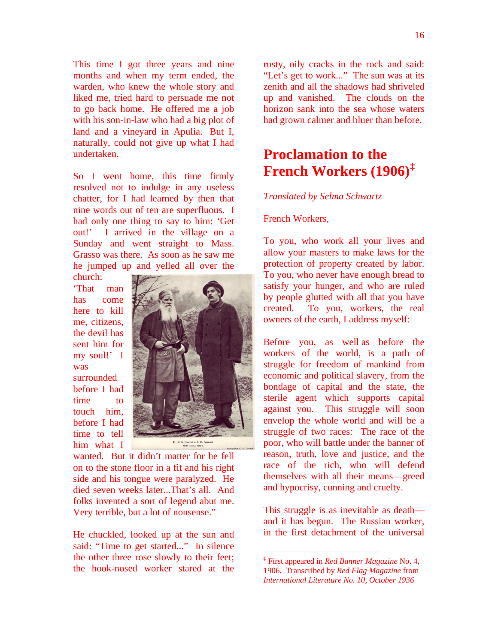This time I got three years and nine months and when my term ended, the warden, who knew the whole story and liked me, tried hard to persuade me not to go back home. He offered me a job with his son-in-law who had a big plot of land and a vineyard in Apulia. But I, naturally, could not give up what I had undertaken.

So I went home, this time firmly resolved not to indulge in any useless chatter, for I had learned by then that nine words out of ten are superfluous. I had only one thing to say to him: 'Get out!' I arrived in the village on a Sunday and went straight to Mass. Grasso was there. As soon as he saw me he jumped up and yelled all over the church:

'That man has come here to kill me, citizens, the devil has sent him for my soul!' I was surrounded before I had time to touch him, before I had time to tell him what I



wanted. But it didn't matter for he fell on to the stone floor in a fit and his right side and his tongue were paralyzed. He died seven weeks later...That's all. And folks invented a sort of legend abut me. Very terrible, but a lot of nonsense."

<span id="page-15-0"></span>He chuckled, looked up at the sun and said: "Time to get started..." In silence the other three rose slowly to their feet; the hook-nosed worker stared at the rusty, oily cracks in the rock and said: "Let's get to work..." The sun was at its zenith and all the shadows had shriveled up and vanished. The clouds on the horizon sank into the sea whose waters had grown calmer and bluer than before.

### **Proclamation to the French Workers (1906)[‡](#page-15-0)**

#### *Translated by Selma Schwartz*

### French Workers,

To you, who work all your lives and allow your masters to make laws for the protection of property created by labor. To you, who never have enough bread to satisfy your hunger, and who are ruled by people glutted with all that you have created. To you, workers, the real owners of the earth, I address myself:

Before you, as well as before the workers of the world, is a path of struggle for freedom of mankind from economic and political slavery, from the bondage of capital and the state, the sterile agent which supports capital against you. This struggle will soon envelop the whole world and will be a struggle of two races: The race of the poor, who will battle under the banner of reason, truth, love and justice, and the race of the rich, who will defend themselves with all their means—greed and hypocrisy, cunning and cruelty.

This struggle is as inevitable as death and it has begun. The Russian worker, in the first detachment of the universal

 $\overline{a}$ 

<sup>‡</sup> First appeared in *Red Banner Magazine* No. 4, 1906. Transcribed by *Red Flag Magazine* from *International Literature No. 10, October 1936*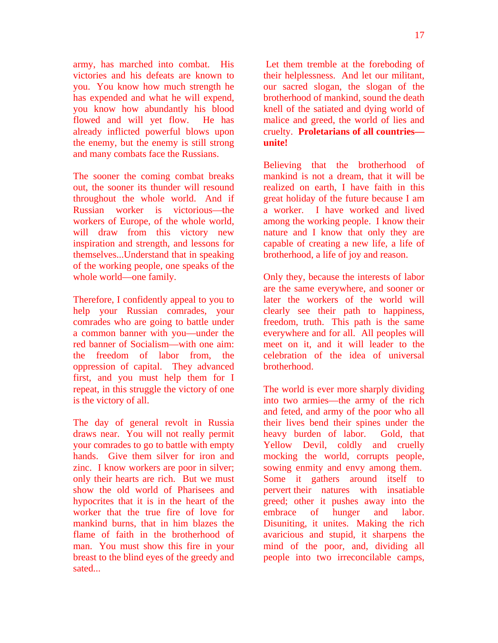army, has marched into combat. His victories and his defeats are known to you. You know how much strength he has expended and what he will expend, you know how abundantly his blood flowed and will yet flow. He has already inflicted powerful blows upon the enemy, but the enemy is still strong and many combats face the Russians.

The sooner the coming combat breaks out, the sooner its thunder will resound throughout the whole world. And if Russian worker is victorious—the workers of Europe, of the whole world, will draw from this victory new inspiration and strength, and lessons for themselves...Understand that in speaking of the working people, one speaks of the whole world—one family.

Therefore, I confidently appeal to you to help your Russian comrades, your comrades who are going to battle under a common banner with you—under the red banner of Socialism—with one aim: the freedom of labor from, the oppression of capital. They advanced first, and you must help them for I repeat, in this struggle the victory of one is the victory of all.

The day of general revolt in Russia draws near. You will not really permit your comrades to go to battle with empty hands. Give them silver for iron and zinc. I know workers are poor in silver; only their hearts are rich. But we must show the old world of Pharisees and hypocrites that it is in the heart of the worker that the true fire of love for mankind burns, that in him blazes the flame of faith in the brotherhood of man. You must show this fire in your breast to the blind eyes of the greedy and sated...

 Let them tremble at the foreboding of their helplessness. And let our militant, our sacred slogan, the slogan of the brotherhood of mankind, sound the death knell of the satiated and dying world of malice and greed, the world of lies and cruelty. **Proletarians of all countries unite!**

Believing that the brotherhood of mankind is not a dream, that it will be realized on earth, I have faith in this great holiday of the future because I am a worker. I have worked and lived among the working people. I know their nature and I know that only they are capable of creating a new life, a life of brotherhood, a life of joy and reason.

Only they, because the interests of labor are the same everywhere, and sooner or later the workers of the world will clearly see their path to happiness, freedom, truth. This path is the same everywhere and for all. All peoples will meet on it, and it will leader to the celebration of the idea of universal brotherhood.

The world is ever more sharply dividing into two armies—the army of the rich and feted, and army of the poor who all their lives bend their spines under the heavy burden of labor. Gold, that Yellow Devil, coldly and cruelly mocking the world, corrupts people, sowing enmity and envy among them. Some it gathers around itself to pervert their natures with insatiable greed; other it pushes away into the embrace of hunger and labor. Disuniting, it unites. Making the rich avaricious and stupid, it sharpens the mind of the poor, and, dividing all people into two irreconcilable camps,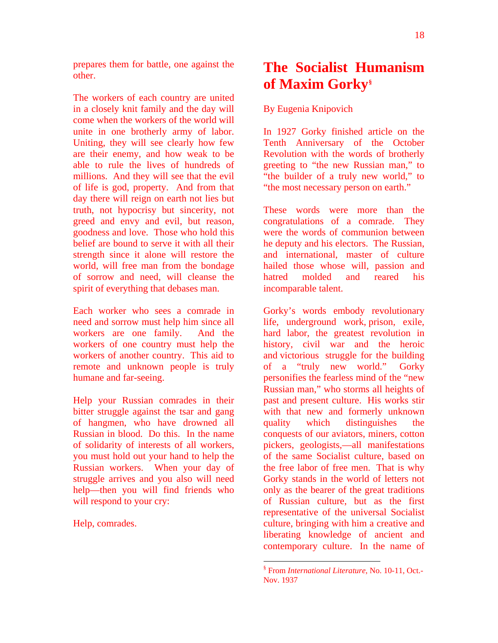prepares them for battle, one against the other.

The workers of each country are united in a closely knit family and the day will come when the workers of the world will unite in one brotherly army of labor. Uniting, they will see clearly how few are their enemy, and how weak to be able to rule the lives of hundreds of millions. And they will see that the evil of life is god, property. And from that day there will reign on earth not lies but truth, not hypocrisy but sincerity, not greed and envy and evil, but reason, goodness and love. Those who hold this belief are bound to serve it with all their strength since it alone will restore the world, will free man from the bondage of sorrow and need, will cleanse the spirit of everything that debases man.

Each worker who sees a comrade in need and sorrow must help him since all workers are one family. And the workers of one country must help the workers of another country. This aid to remote and unknown people is truly humane and far-seeing.

Help your Russian comrades in their bitter struggle against the tsar and gang of hangmen, who have drowned all Russian in blood. Do this. In the name of solidarity of interests of all workers, you must hold out your hand to help the Russian workers. When your day of struggle arrives and you also will need help—then you will find friends who will respond to your cry:

<span id="page-17-0"></span>Help, comrades.

# **The Socialist Humanism of Maxim Gorky[§](#page-17-0)**

### By Eugenia Knipovich

In 1927 Gorky finished article on the Tenth Anniversary of the October Revolution with the words of brotherly greeting to "the new Russian man," to "the builder of a truly new world," to "the most necessary person on earth."

These words were more than the congratulations of a comrade. They were the words of communion between he deputy and his electors. The Russian, and international, master of culture hailed those whose will, passion and hatred molded and reared his incomparable talent.

Gorky's words embody revolutionary life, underground work, prison, exile, hard labor, the greatest revolution in history, civil war and the heroic and victorious struggle for the building of a "truly new world." Gorky personifies the fearless mind of the "new Russian man," who storms all heights of past and present culture. His works stir with that new and formerly unknown quality which distinguishes conquests of our aviators, miners, cotton pickers, geologists,—all manifestations of the same Socialist culture, based on the free labor of free men. That is why Gorky stands in the world of letters not only as the bearer of the great traditions of Russian culture, but as the first representative of the universal Socialist culture, bringing with him a creative and liberating knowledge of ancient and contemporary culture. In the name of

 $\overline{a}$ 

<sup>§</sup> From *International Literature*, No. 10-11, Oct.- Nov. 1937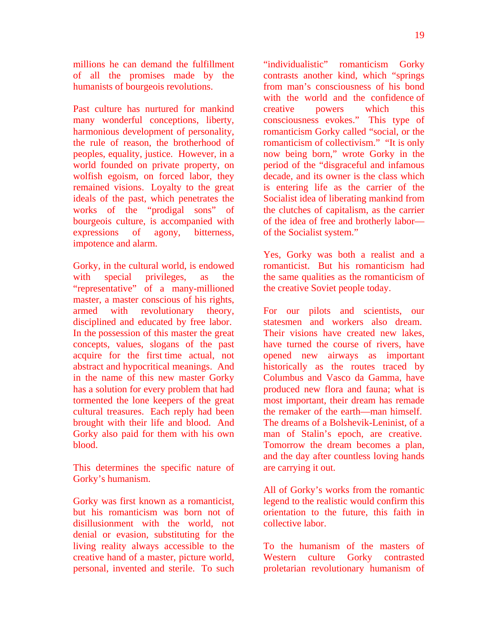millions he can demand the fulfillment of all the promises made by the humanists of bourgeois revolutions.

Past culture has nurtured for mankind many wonderful conceptions, liberty, harmonious development of personality, the rule of reason, the brotherhood of peoples, equality, justice. However, in a world founded on private property, on wolfish egoism, on forced labor, they remained visions. Loyalty to the great ideals of the past, which penetrates the works of the "prodigal sons" of bourgeois culture, is accompanied with expressions of agony, bitterness, impotence and alarm.

Gorky, in the cultural world, is endowed with special privileges, as the "representative" of a many-millioned master, a master conscious of his rights, armed with revolutionary theory, disciplined and educated by free labor. In the possession of this master the great concepts, values, slogans of the past acquire for the first time actual, not abstract and hypocritical meanings. And in the name of this new master Gorky has a solution for every problem that had tormented the lone keepers of the great cultural treasures. Each reply had been brought with their life and blood. And Gorky also paid for them with his own blood.

This determines the specific nature of Gorky's humanism.

Gorky was first known as a romanticist, but his romanticism was born not of disillusionment with the world, not denial or evasion, substituting for the living reality always accessible to the creative hand of a master, picture world, personal, invented and sterile. To such "individualistic" romanticism Gorky contrasts another kind, which "springs from man's consciousness of his bond with the world and the confidence of creative powers which this consciousness evokes." This type of romanticism Gorky called "social, or the romanticism of collectivism." "It is only now being born," wrote Gorky in the period of the "disgraceful and infamous decade, and its owner is the class which is entering life as the carrier of the Socialist idea of liberating mankind from the clutches of capitalism, as the carrier of the idea of free and brotherly labor of the Socialist system."

Yes, Gorky was both a realist and a romanticist. But his romanticism had the same qualities as the romanticism of the creative Soviet people today.

For our pilots and scientists, our statesmen and workers also dream. Their visions have created new lakes, have turned the course of rivers, have opened new airways as important historically as the routes traced by Columbus and Vasco da Gamma, have produced new flora and fauna; what is most important, their dream has remade the remaker of the earth—man himself. The dreams of a Bolshevik-Leninist, of a man of Stalin's epoch, are creative. Tomorrow the dream becomes a plan, and the day after countless loving hands are carrying it out.

All of Gorky's works from the romantic legend to the realistic would confirm this orientation to the future, this faith in collective labor.

To the humanism of the masters of Western culture Gorky contrasted proletarian revolutionary humanism of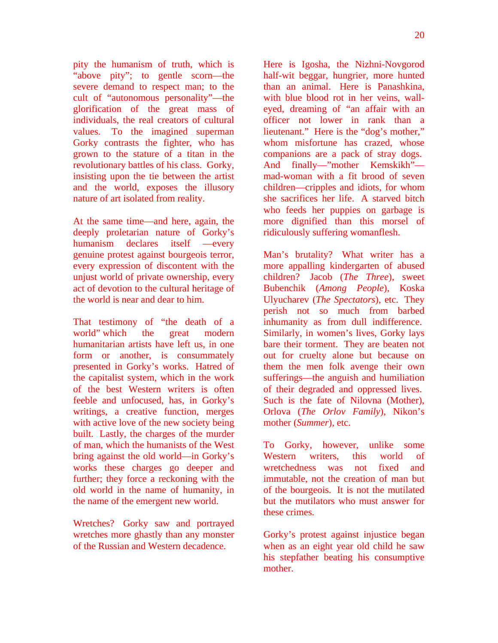pity the humanism of truth, which is "above pity"; to gentle scorn—the severe demand to respect man; to the cult of "autonomous personality"—the glorification of the great mass of individuals, the real creators of cultural values. To the imagined superman Gorky contrasts the fighter, who has grown to the stature of a titan in the revolutionary battles of his class. Gorky, insisting upon the tie between the artist and the world, exposes the illusory nature of art isolated from reality.

At the same time—and here, again, the deeply proletarian nature of Gorky's humanism declares itself —every genuine protest against bourgeois terror, every expression of discontent with the unjust world of private ownership, every act of devotion to the cultural heritage of the world is near and dear to him.

That testimony of "the death of a world" which the great modern humanitarian artists have left us, in one form or another, is consummately presented in Gorky's works. Hatred of the capitalist system, which in the work of the best Western writers is often feeble and unfocused, has, in Gorky's writings, a creative function, merges with active love of the new society being built. Lastly, the charges of the murder of man, which the humanists of the West bring against the old world—in Gorky's works these charges go deeper and further; they force a reckoning with the old world in the name of humanity, in the name of the emergent new world.

Wretches? Gorky saw and portrayed wretches more ghastly than any monster of the Russian and Western decadence.

Here is Igosha, the Nizhni-Novgorod half-wit beggar, hungrier, more hunted than an animal. Here is Panashkina, with blue blood rot in her veins, walleyed, dreaming of "an affair with an officer not lower in rank than a lieutenant." Here is the "dog's mother," whom misfortune has crazed, whose companions are a pack of stray dogs. And finally—"mother Kemskikh" mad-woman with a fit brood of seven children—cripples and idiots, for whom she sacrifices her life. A starved bitch who feeds her puppies on garbage is more dignified than this morsel of ridiculously suffering womanflesh.

Man's brutality? What writer has a more appalling kindergarten of abused children? Jacob (*The Three*), sweet Bubenchik (*Among People*), Koska Ulyucharev (*The Spectators*), etc. They perish not so much from barbed inhumanity as from dull indifference. Similarly, in women's lives, Gorky lays bare their torment. They are beaten not out for cruelty alone but because on them the men folk avenge their own sufferings—the anguish and humiliation of their degraded and oppressed lives. Such is the fate of Nilovna (Mother), Orlova (*The Orlov Family*), Nikon's mother (*Summer*), etc.

To Gorky, however, unlike some Western writers, this world of wretchedness was not fixed and immutable, not the creation of man but of the bourgeois. It is not the mutilated but the mutilators who must answer for these crimes.

Gorky's protest against injustice began when as an eight year old child he saw his stepfather beating his consumptive mother.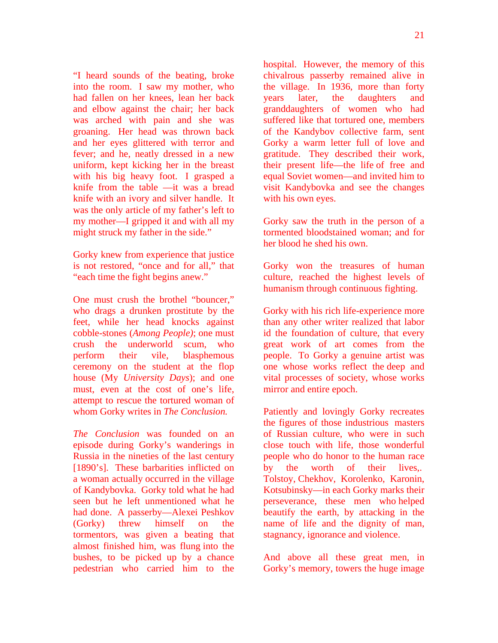"I heard sounds of the beating, broke into the room. I saw my mother, who had fallen on her knees, lean her back and elbow against the chair; her back was arched with pain and she was groaning. Her head was thrown back and her eyes glittered with terror and fever; and he, neatly dressed in a new uniform, kept kicking her in the breast with his big heavy foot. I grasped a knife from the table —it was a bread knife with an ivory and silver handle. It was the only article of my father's left to my mother—I gripped it and with all my might struck my father in the side."

Gorky knew from experience that justice is not restored, "once and for all," that "each time the fight begins anew."

One must crush the brothel "bouncer," who drags a drunken prostitute by the feet, while her head knocks against cobble-stones (*Among People)*; one must crush the underworld scum, who perform their vile, blasphemous ceremony on the student at the flop house (My *University Days*); and one must, even at the cost of one's life, attempt to rescue the tortured woman of whom Gorky writes in *The Conclusion.*

*The Conclusion* was founded on an episode during Gorky's wanderings in Russia in the nineties of the last century [1890's]. These barbarities inflicted on a woman actually occurred in the village of Kandybovka. Gorky told what he had seen but he left unmentioned what he had done. A passerby—Alexei Peshkov (Gorky) threw himself on the tormentors, was given a beating that almost finished him, was flung into the bushes, to be picked up by a chance pedestrian who carried him to the

hospital. However, the memory of this chivalrous passerby remained alive in the village. In 1936, more than forty years later, the daughters and granddaughters of women who had suffered like that tortured one, members of the Kandybov collective farm, sent Gorky a warm letter full of love and gratitude. They described their work, their present life—the life of free and equal Soviet women—and invited him to visit Kandybovka and see the changes with his own eyes.

Gorky saw the truth in the person of a tormented bloodstained woman; and for her blood he shed his own.

Gorky won the treasures of human culture, reached the highest levels of humanism through continuous fighting.

Gorky with his rich life-experience more than any other writer realized that labor id the foundation of culture, that every great work of art comes from the people. To Gorky a genuine artist was one whose works reflect the deep and vital processes of society, whose works mirror and entire epoch.

Patiently and lovingly Gorky recreates the figures of those industrious masters of Russian culture, who were in such close touch with life, those wonderful people who do honor to the human race by the worth of their lives,. Tolstoy, Chekhov, Korolenko, Karonin, Kotsubinsky—in each Gorky marks their perseverance, these men who helped beautify the earth, by attacking in the name of life and the dignity of man, stagnancy, ignorance and violence.

And above all these great men, in Gorky's memory, towers the huge image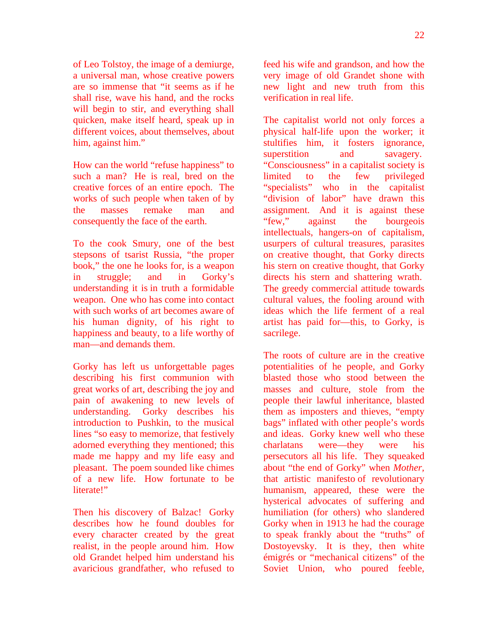of Leo Tolstoy, the image of a demiurge, a universal man, whose creative powers are so immense that "it seems as if he shall rise, wave his hand, and the rocks will begin to stir, and everything shall quicken, make itself heard, speak up in different voices, about themselves, about him, against him."

How can the world "refuse happiness" to such a man? He is real, bred on the creative forces of an entire epoch. The works of such people when taken of by the masses remake man and consequently the face of the earth.

To the cook Smury, one of the best stepsons of tsarist Russia, "the proper book," the one he looks for, is a weapon in struggle; and in Gorky's understanding it is in truth a formidable weapon. One who has come into contact with such works of art becomes aware of his human dignity, of his right to happiness and beauty, to a life worthy of man—and demands them.

Gorky has left us unforgettable pages describing his first communion with great works of art, describing the joy and pain of awakening to new levels of understanding. Gorky describes his introduction to Pushkin, to the musical lines "so easy to memorize, that festively adorned everything they mentioned; this made me happy and my life easy and pleasant. The poem sounded like chimes of a new life. How fortunate to be literate!"

Then his discovery of Balzac! Gorky describes how he found doubles for every character created by the great realist, in the people around him. How old Grandet helped him understand his avaricious grandfather, who refused to feed his wife and grandson, and how the very image of old Grandet shone with new light and new truth from this verification in real life.

The capitalist world not only forces a physical half-life upon the worker; it stultifies him, it fosters ignorance, superstition and savagery. "Consciousness" in a capitalist society is limited to the few privileged "specialists" who in the capitalist "division of labor" have drawn this assignment. And it is against these "few," against the bourgeois intellectuals, hangers-on of capitalism, usurpers of cultural treasures, parasites on creative thought, that Gorky directs his stern on creative thought, that Gorky directs his stern and shattering wrath. The greedy commercial attitude towards cultural values, the fooling around with ideas which the life ferment of a real artist has paid for—this, to Gorky, is sacrilege.

The roots of culture are in the creative potentialities of he people, and Gorky blasted those who stood between the masses and culture, stole from the people their lawful inheritance, blasted them as imposters and thieves, "empty bags" inflated with other people's words and ideas. Gorky knew well who these charlatans were—they were his persecutors all his life. They squeaked about "the end of Gorky" when *Mother,* that artistic manifesto of revolutionary humanism, appeared, these were the hysterical advocates of suffering and humiliation (for others) who slandered Gorky when in 1913 he had the courage to speak frankly about the "truths" of Dostoyevsky. It is they, then white émigrés or "mechanical citizens" of the Soviet Union, who poured feeble,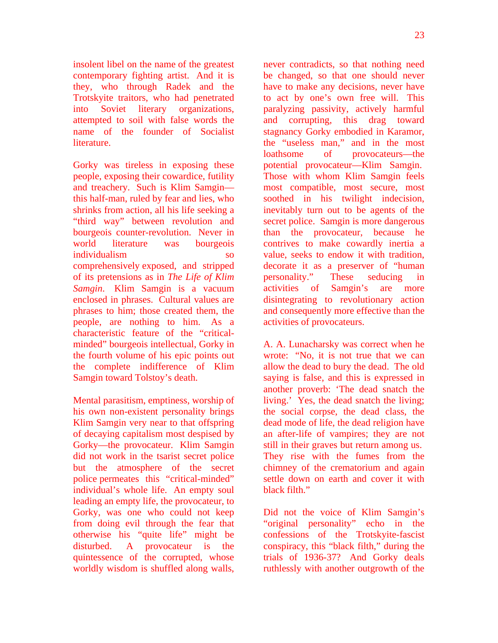insolent libel on the name of the greatest contemporary fighting artist. And it is they, who through Radek and the Trotskyite traitors, who had penetrated into Soviet literary organizations, attempted to soil with false words the name of the founder of Socialist literature.

Gorky was tireless in exposing these people, exposing their cowardice, futility and treachery. Such is Klim Samgin this half-man, ruled by fear and lies, who shrinks from action, all his life seeking a "third way" between revolution and bourgeois counter-revolution. Never in world literature was bourgeois individualism so comprehensively exposed, and stripped of its pretensions as in *The Life of Klim Samgin*. Klim Samgin is a vacuum enclosed in phrases. Cultural values are phrases to him; those created them, the people, are nothing to him. As a characteristic feature of the "criticalminded" bourgeois intellectual, Gorky in the fourth volume of his epic points out the complete indifference of Klim Samgin toward Tolstoy's death.

Mental parasitism, emptiness, worship of his own non-existent personality brings Klim Samgin very near to that offspring of decaying capitalism most despised by Gorky—the provocateur. Klim Samgin did not work in the tsarist secret police but the atmosphere of the secret police permeates this "critical-minded" individual's whole life. An empty soul leading an empty life, the provocateur, to Gorky, was one who could not keep from doing evil through the fear that otherwise his "quite life" might be disturbed. A provocateur is the quintessence of the corrupted, whose worldly wisdom is shuffled along walls,

never contradicts, so that nothing need be changed, so that one should never have to make any decisions, never have to act by one's own free will. This paralyzing passivity, actively harmful and corrupting, this drag toward stagnancy Gorky embodied in Karamor, the "useless man," and in the most loathsome of provocateurs—the potential provocateur—Klim Samgin. Those with whom Klim Samgin feels most compatible, most secure, most soothed in his twilight indecision, inevitably turn out to be agents of the secret police. Samgin is more dangerous than the provocateur, because he contrives to make cowardly inertia a value, seeks to endow it with tradition, decorate it as a preserver of "human personality." These seducing in activities of Samgin's are more disintegrating to revolutionary action and consequently more effective than the activities of provocateurs.

A. A. Lunacharsky was correct when he wrote: "No, it is not true that we can allow the dead to bury the dead. The old saying is false, and this is expressed in another proverb: 'The dead snatch the living.' Yes, the dead snatch the living; the social corpse, the dead class, the dead mode of life, the dead religion have an after-life of vampires; they are not still in their graves but return among us. They rise with the fumes from the chimney of the crematorium and again settle down on earth and cover it with black filth."

Did not the voice of Klim Samgin's "original personality" echo in the confessions of the Trotskyite-fascist conspiracy, this "black filth," during the trials of 1936-37? And Gorky deals ruthlessly with another outgrowth of the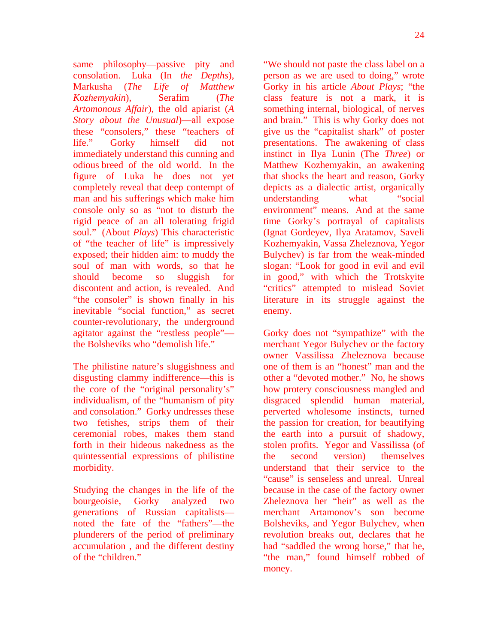same philosophy—passive pity and consolation. Luka (In *the Depths*), Markusha (*The Life of Matthew Kozhemyakin*), Serafim (*The Artomonous Affair*), the old apiarist (*A Story about the Unusual*)—all expose these "consolers," these "teachers of life." Gorky himself did not immediately understand this cunning and odious breed of the old world. In the figure of Luka he does not yet completely reveal that deep contempt of man and his sufferings which make him console only so as "not to disturb the rigid peace of an all tolerating frigid soul." (About *Plays*) This characteristic of "the teacher of life" is impressively exposed; their hidden aim: to muddy the soul of man with words, so that he should become so sluggish for discontent and action, is revealed. And "the consoler" is shown finally in his inevitable "social function," as secret counter-revolutionary, the underground agitator against the "restless people" the Bolsheviks who "demolish life."

The philistine nature's sluggishness and disgusting clammy indifference—this is the core of the "original personality's" individualism, of the "humanism of pity and consolation." Gorky undresses these two fetishes, strips them of their ceremonial robes, makes them stand forth in their hideous nakedness as the quintessential expressions of philistine morbidity.

Studying the changes in the life of the bourgeoisie, Gorky analyzed two generations of Russian capitalists noted the fate of the "fathers"—the plunderers of the period of preliminary accumulation , and the different destiny of the "children."

"We should not paste the class label on a person as we are used to doing," wrote Gorky in his article *About Plays*; "the class feature is not a mark, it is something internal, biological, of nerves and brain." This is why Gorky does not give us the "capitalist shark" of poster presentations. The awakening of class instinct in Ilya Lunin (The *Three*) or Matthew Kozhemyakin, an awakening that shocks the heart and reason, Gorky depicts as a dialectic artist, organically understanding what "social environment" means. And at the same time Gorky's portrayal of capitalists (Ignat Gordeyev, Ilya Aratamov, Saveli Kozhemyakin, Vassa Zheleznova, Yegor Bulychev) is far from the weak-minded slogan: "Look for good in evil and evil in good," with which the Trotskyite "critics" attempted to mislead Soviet literature in its struggle against the enemy.

Gorky does not "sympathize" with the merchant Yegor Bulychev or the factory owner Vassilissa Zheleznova because one of them is an "honest" man and the other a "devoted mother." No, he shows how protery consciousness mangled and disgraced splendid human material, perverted wholesome instincts, turned the passion for creation, for beautifying the earth into a pursuit of shadowy, stolen profits. Yegor and Vassilissa (of the second version) themselves understand that their service to the "cause" is senseless and unreal. Unreal because in the case of the factory owner Zheleznova her "heir" as well as the merchant Artamonov's son become Bolsheviks, and Yegor Bulychev, when revolution breaks out, declares that he had "saddled the wrong horse," that he, "the man," found himself robbed of money.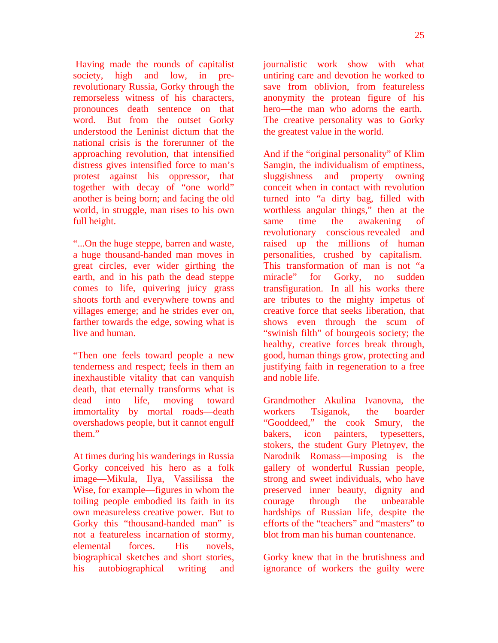Having made the rounds of capitalist society, high and low, in prerevolutionary Russia, Gorky through the remorseless witness of his characters, pronounces death sentence on that word. But from the outset Gorky understood the Leninist dictum that the national crisis is the forerunner of the approaching revolution, that intensified distress gives intensified force to man's protest against his oppressor, that together with decay of "one world" another is being born; and facing the old world, in struggle, man rises to his own full height.

"...On the huge steppe, barren and waste, a huge thousand-handed man moves in great circles, ever wider girthing the earth, and in his path the dead steppe comes to life, quivering juicy grass shoots forth and everywhere towns and villages emerge; and he strides ever on, farther towards the edge, sowing what is live and human.

"Then one feels toward people a new tenderness and respect; feels in them an inexhaustible vitality that can vanquish death, that eternally transforms what is dead into life, moving toward immortality by mortal roads—death overshadows people, but it cannot engulf them."

At times during his wanderings in Russia Gorky conceived his hero as a folk image—Mikula, Ilya, Vassilissa the Wise, for example—figures in whom the toiling people embodied its faith in its own measureless creative power. But to Gorky this "thousand-handed man" is not a featureless incarnation of stormy, elemental forces. His novels, biographical sketches and short stories, his autobiographical writing and

journalistic work show with what untiring care and devotion he worked to save from oblivion, from featureless anonymity the protean figure of his hero—the man who adorns the earth. The creative personality was to Gorky the greatest value in the world.

And if the "original personality" of Klim Samgin, the individualism of emptiness, sluggishness and property owning conceit when in contact with revolution turned into "a dirty bag, filled with worthless angular things," then at the same time the awakening of revolutionary conscious revealed and raised up the millions of human personalities, crushed by capitalism. This transformation of man is not "a miracle" for Gorky, no sudden transfiguration. In all his works there are tributes to the mighty impetus of creative force that seeks liberation, that shows even through the scum of "swinish filth" of bourgeois society; the healthy, creative forces break through, good, human things grow, protecting and justifying faith in regeneration to a free and noble life.

Grandmother Akulina Ivanovna, the workers Tsiganok, the boarder "Gooddeed," the cook Smury, the bakers, icon painters, typesetters, stokers, the student Gury Pletnyev, the Narodnik Romass—imposing is the gallery of wonderful Russian people, strong and sweet individuals, who have preserved inner beauty, dignity and courage through the unbearable hardships of Russian life, despite the efforts of the "teachers" and "masters" to blot from man his human countenance.

Gorky knew that in the brutishness and ignorance of workers the guilty were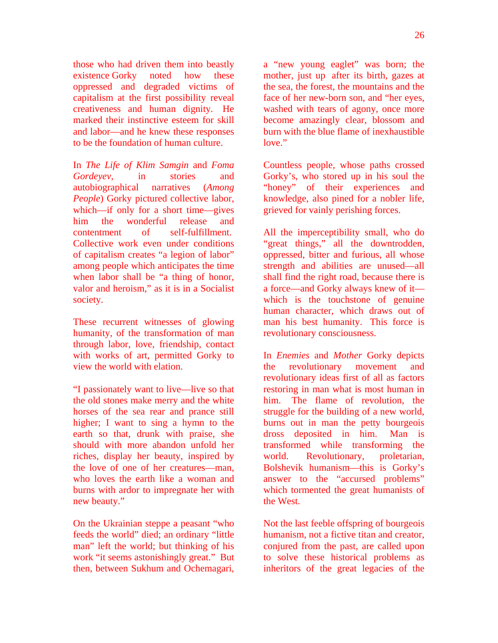those who had driven them into beastly existence Gorky noted how these oppressed and degraded victims of capitalism at the first possibility reveal creativeness and human dignity. He marked their instinctive esteem for skill and labor—and he knew these responses to be the foundation of human culture.

In *The Life of Klim Samgin* and *Foma Gordeyev*, in stories and autobiographical narratives (*Among People*) Gorky pictured collective labor, which—if only for a short time—gives him the wonderful release and contentment of self-fulfillment. Collective work even under conditions of capitalism creates "a legion of labor" among people which anticipates the time when labor shall be "a thing of honor, valor and heroism," as it is in a Socialist society.

These recurrent witnesses of glowing humanity, of the transformation of man through labor, love, friendship, contact with works of art, permitted Gorky to view the world with elation.

"I passionately want to live—live so that the old stones make merry and the white horses of the sea rear and prance still higher; I want to sing a hymn to the earth so that, drunk with praise, she should with more abandon unfold her riches, display her beauty, inspired by the love of one of her creatures—man, who loves the earth like a woman and burns with ardor to impregnate her with new beauty."

On the Ukrainian steppe a peasant "who feeds the world" died; an ordinary "little man" left the world; but thinking of his work "it seems astonishingly great." But then, between Sukhum and Ochemagari,

a "new young eaglet" was born; the mother, just up after its birth, gazes at the sea, the forest, the mountains and the face of her new-born son, and "her eyes, washed with tears of agony, once more become amazingly clear, blossom and burn with the blue flame of inexhaustible love."

Countless people, whose paths crossed Gorky's, who stored up in his soul the "honey" of their experiences and knowledge, also pined for a nobler life, grieved for vainly perishing forces.

All the imperceptibility small, who do "great things," all the downtrodden, oppressed, bitter and furious, all whose strength and abilities are unused—all shall find the right road, because there is a force—and Gorky always knew of it which is the touchstone of genuine human character, which draws out of man his best humanity. This force is revolutionary consciousness.

In *Enemies* and *Mother* Gorky depicts the revolutionary movement and revolutionary ideas first of all as factors restoring in man what is most human in him. The flame of revolution, the struggle for the building of a new world, burns out in man the petty bourgeois dross deposited in him. Man is transformed while transforming the world. Revolutionary, proletarian, Bolshevik humanism—this is Gorky's answer to the "accursed problems" which tormented the great humanists of the West.

Not the last feeble offspring of bourgeois humanism, not a fictive titan and creator, conjured from the past, are called upon to solve these historical problems as inheritors of the great legacies of the